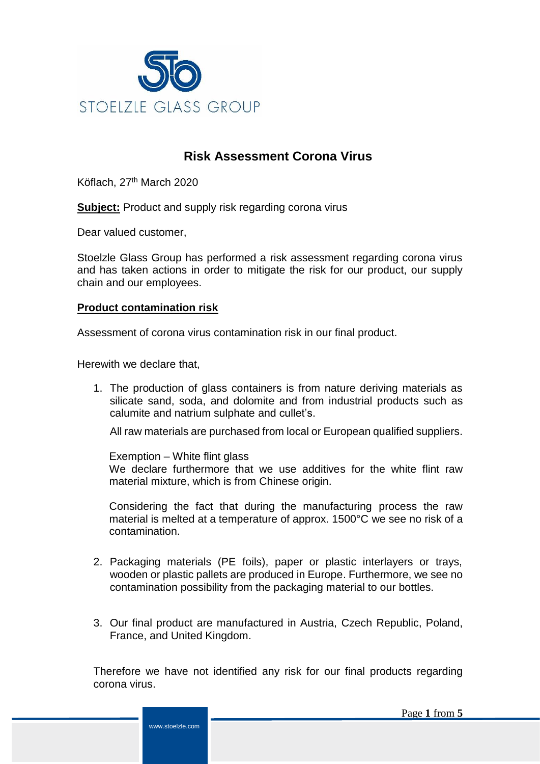

# **Risk Assessment Corona Virus**

Köflach, 27<sup>th</sup> March 2020

**Subject:** Product and supply risk regarding corona virus

Dear valued customer,

Stoelzle Glass Group has performed a risk assessment regarding corona virus and has taken actions in order to mitigate the risk for our product, our supply chain and our employees.

## **Product contamination risk**

Assessment of corona virus contamination risk in our final product.

Herewith we declare that,

1. The production of glass containers is from nature deriving materials as silicate sand, soda, and dolomite and from industrial products such as calumite and natrium sulphate and cullet's.

All raw materials are purchased from local or European qualified suppliers.

Exemption – White flint glass

We declare furthermore that we use additives for the white flint raw material mixture, which is from Chinese origin.

Considering the fact that during the manufacturing process the raw material is melted at a temperature of approx. 1500°C we see no risk of a contamination.

- 2. Packaging materials (PE foils), paper or plastic interlayers or trays, wooden or plastic pallets are produced in Europe. Furthermore, we see no contamination possibility from the packaging material to our bottles.
- 3. Our final product are manufactured in Austria, Czech Republic, Poland, France, and United Kingdom.

Therefore we have not identified any risk for our final products regarding corona virus.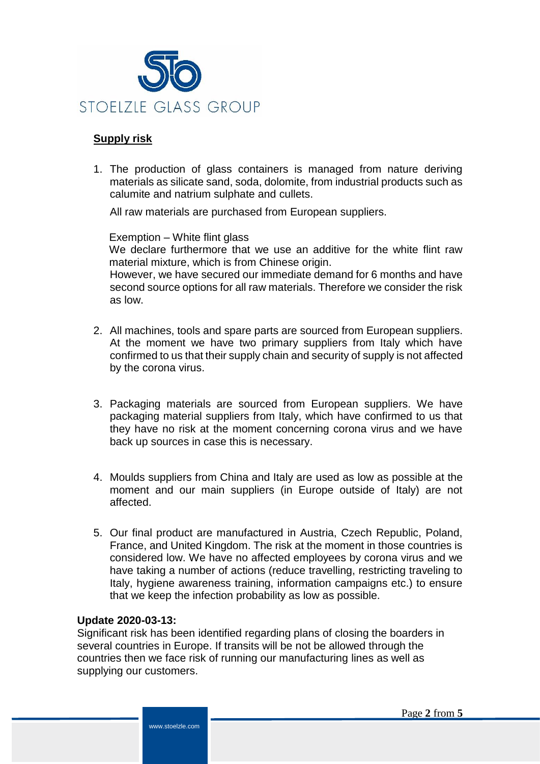

# **Supply risk**

1. The production of glass containers is managed from nature deriving materials as silicate sand, soda, dolomite, from industrial products such as calumite and natrium sulphate and cullets.

All raw materials are purchased from European suppliers.

Exemption – White flint glass

We declare furthermore that we use an additive for the white flint raw material mixture, which is from Chinese origin.

However, we have secured our immediate demand for 6 months and have second source options for all raw materials. Therefore we consider the risk as low.

- 2. All machines, tools and spare parts are sourced from European suppliers. At the moment we have two primary suppliers from Italy which have confirmed to us that their supply chain and security of supply is not affected by the corona virus.
- 3. Packaging materials are sourced from European suppliers. We have packaging material suppliers from Italy, which have confirmed to us that they have no risk at the moment concerning corona virus and we have back up sources in case this is necessary.
- 4. Moulds suppliers from China and Italy are used as low as possible at the moment and our main suppliers (in Europe outside of Italy) are not affected.
- 5. Our final product are manufactured in Austria, Czech Republic, Poland, France, and United Kingdom. The risk at the moment in those countries is considered low. We have no affected employees by corona virus and we have taking a number of actions (reduce travelling, restricting traveling to Italy, hygiene awareness training, information campaigns etc.) to ensure that we keep the infection probability as low as possible.

#### **Update 2020-03-13:**

Significant risk has been identified regarding plans of closing the boarders in several countries in Europe. If transits will be not be allowed through the countries then we face risk of running our manufacturing lines as well as supplying our customers.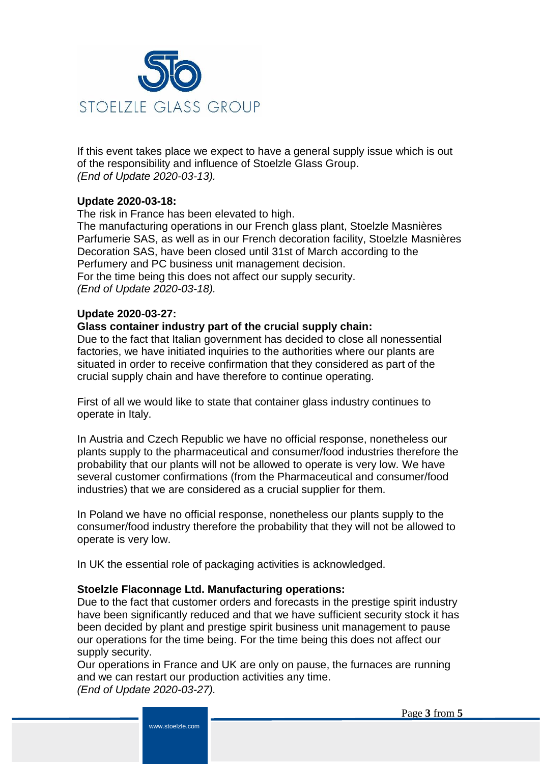

If this event takes place we expect to have a general supply issue which is out of the responsibility and influence of Stoelzle Glass Group. *(End of Update 2020-03-13).*

# **Update 2020-03-18:**

The risk in France has been elevated to high.

The manufacturing operations in our French glass plant, Stoelzle Masnières Parfumerie SAS, as well as in our French decoration facility, Stoelzle Masnières Decoration SAS, have been closed until 31st of March according to the Perfumery and PC business unit management decision. For the time being this does not affect our supply security. *(End of Update 2020-03-18).*

## **Update 2020-03-27:**

#### **Glass container industry part of the crucial supply chain:**

Due to the fact that Italian government has decided to close all nonessential factories, we have initiated inquiries to the authorities where our plants are situated in order to receive confirmation that they considered as part of the crucial supply chain and have therefore to continue operating.

First of all we would like to state that container glass industry continues to operate in Italy.

In Austria and Czech Republic we have no official response, nonetheless our plants supply to the pharmaceutical and consumer/food industries therefore the probability that our plants will not be allowed to operate is very low. We have several customer confirmations (from the Pharmaceutical and consumer/food industries) that we are considered as a crucial supplier for them.

In Poland we have no official response, nonetheless our plants supply to the consumer/food industry therefore the probability that they will not be allowed to operate is very low.

In UK the essential role of packaging activities is acknowledged.

#### **Stoelzle Flaconnage Ltd. Manufacturing operations:**

www.stoelzle.com

Due to the fact that customer orders and forecasts in the prestige spirit industry have been significantly reduced and that we have sufficient security stock it has been decided by plant and prestige spirit business unit management to pause our operations for the time being. For the time being this does not affect our supply security.

Our operations in France and UK are only on pause, the furnaces are running and we can restart our production activities any time. *(End of Update 2020-03-27).*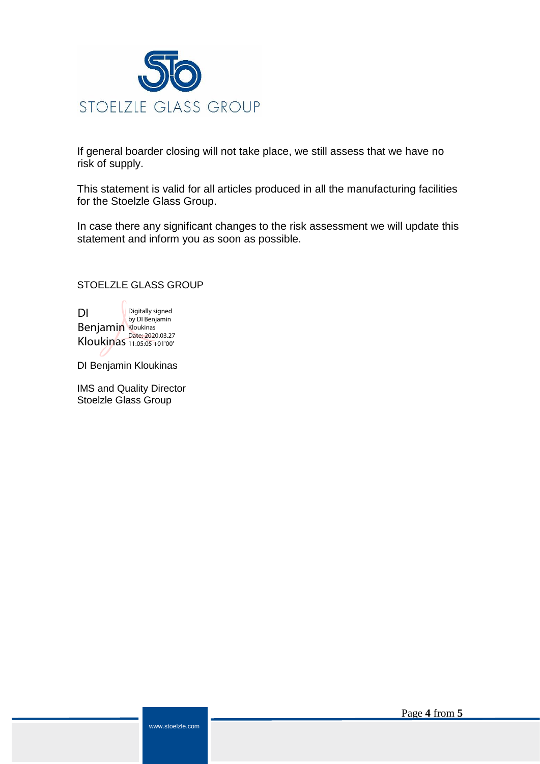

If general boarder closing will not take place, we still assess that we have no risk of supply.

This statement is valid for all articles produced in all the manufacturing facilities for the Stoelzle Glass Group.

In case there any significant changes to the risk assessment we will update this statement and inform you as soon as possible.

#### STOELZLE GLASS GROUP

DI Benjamin Kloukinas Digitally signed by DI Benjamin Kloukinas Date: 2020.03.27 11:05:05 +01'00'

DI Benjamin Kloukinas

IMS and Quality Director Stoelzle Glass Group